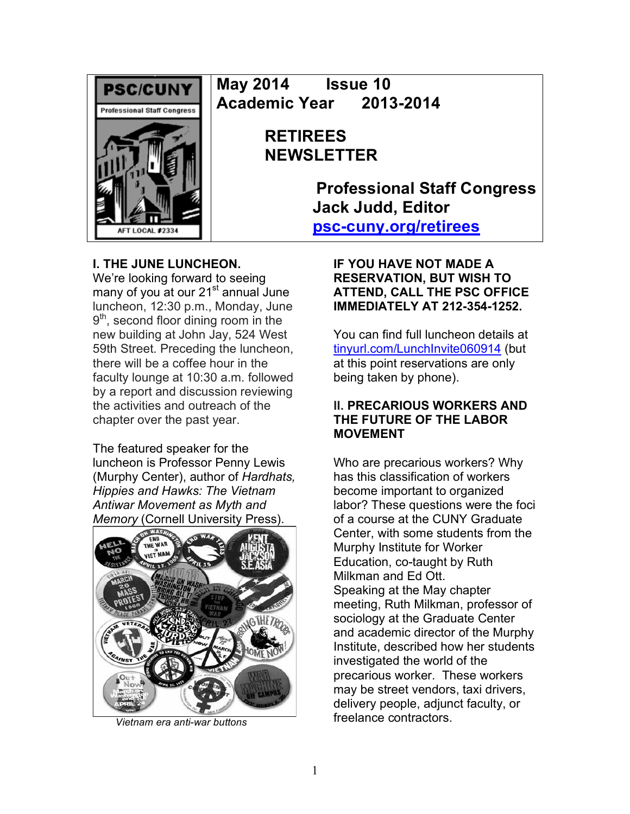

**May 2014 Issue 10 Academic Year 2013-2014**

# **RETIREES NEWSLETTER**

**Professional Staff Congress Jack Judd, Editor psc-cuny.org/retirees**

## **I. THE JUNE LUNCHEON.**

We're looking forward to seeing many of you at our 21<sup>st</sup> annual June luncheon, 12:30 p.m., Monday, June  $9<sup>th</sup>$ , second floor dining room in the new building at John Jay, 524 West 59th Street. Preceding the luncheon, there will be a coffee hour in the faculty lounge at 10:30 a.m. followed by a report and discussion reviewing the activities and outreach of the chapter over the past year.

The featured speaker for the luncheon is Professor Penny Lewis (Murphy Center), author of *Hardhats, Hippies and Hawks: The Vietnam Antiwar Movement as Myth and Memory* (Cornell University Press).



 *Vietnam era anti-war buttons*

**IF YOU HAVE NOT MADE A RESERVATION, BUT WISH TO ATTEND, CALL THE PSC OFFICE IMMEDIATELY AT 212-354-1252.**

You can find full luncheon details at tinyurl.com/LunchInvite060914 (but at this point reservations are only being taken by phone).

## **II. PRECARIOUS WORKERS AND THE FUTURE OF THE LABOR MOVEMENT**

Who are precarious workers? Why has this classification of workers become important to organized labor? These questions were the foci of a course at the CUNY Graduate Center, with some students from the Murphy Institute for Worker Education, co-taught by Ruth Milkman and Ed Ott. Speaking at the May chapter meeting, Ruth Milkman, professor of sociology at the Graduate Center and academic director of the Murphy Institute, described how her students investigated the world of the precarious worker. These workers may be street vendors, taxi drivers, delivery people, adjunct faculty, or freelance contractors.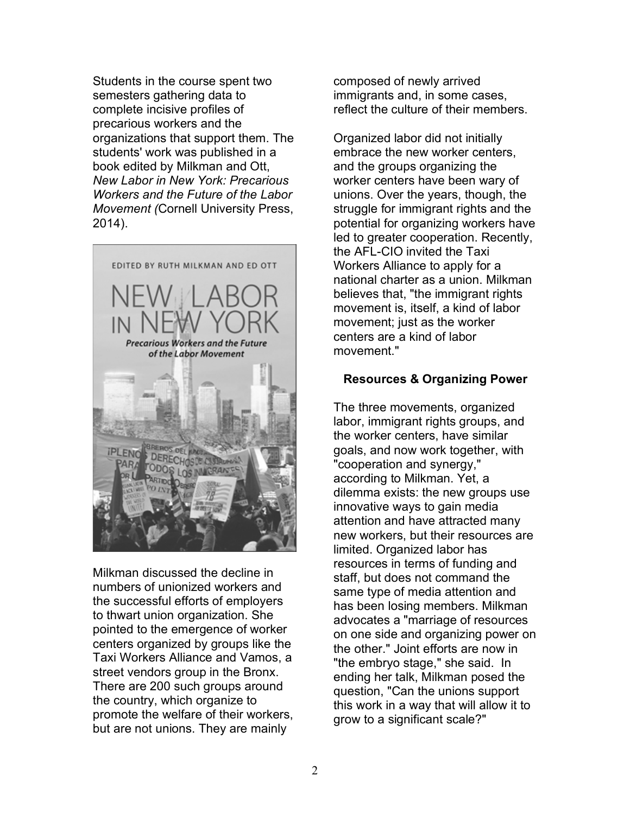Students in the course spent two semesters gathering data to complete incisive profiles of precarious workers and the organizations that support them. The students' work was published in a book edited by Milkman and Ott, *New Labor in New York: Precarious Workers and the Future of the Labor Movement (*Cornell University Press, 2014).



Milkman discussed the decline in numbers of unionized workers and the successful efforts of employers to thwart union organization. She pointed to the emergence of worker centers organized by groups like the Taxi Workers Alliance and Vamos, a street vendors group in the Bronx. There are 200 such groups around the country, which organize to promote the welfare of their workers, but are not unions. They are mainly

composed of newly arrived immigrants and, in some cases, reflect the culture of their members.

Organized labor did not initially embrace the new worker centers, and the groups organizing the worker centers have been wary of unions. Over the years, though, the struggle for immigrant rights and the potential for organizing workers have led to greater cooperation. Recently, the AFL-CIO invited the Taxi Workers Alliance to apply for a national charter as a union. Milkman believes that, "the immigrant rights movement is, itself, a kind of labor movement; just as the worker centers are a kind of labor movement"

## **Resources & Organizing Power**

The three movements, organized labor, immigrant rights groups, and the worker centers, have similar goals, and now work together, with "cooperation and synergy," according to Milkman. Yet, a dilemma exists: the new groups use innovative ways to gain media attention and have attracted many new workers, but their resources are limited. Organized labor has resources in terms of funding and staff, but does not command the same type of media attention and has been losing members. Milkman advocates a "marriage of resources on one side and organizing power on the other." Joint efforts are now in "the embryo stage," she said. In ending her talk, Milkman posed the question, "Can the unions support this work in a way that will allow it to grow to a significant scale?"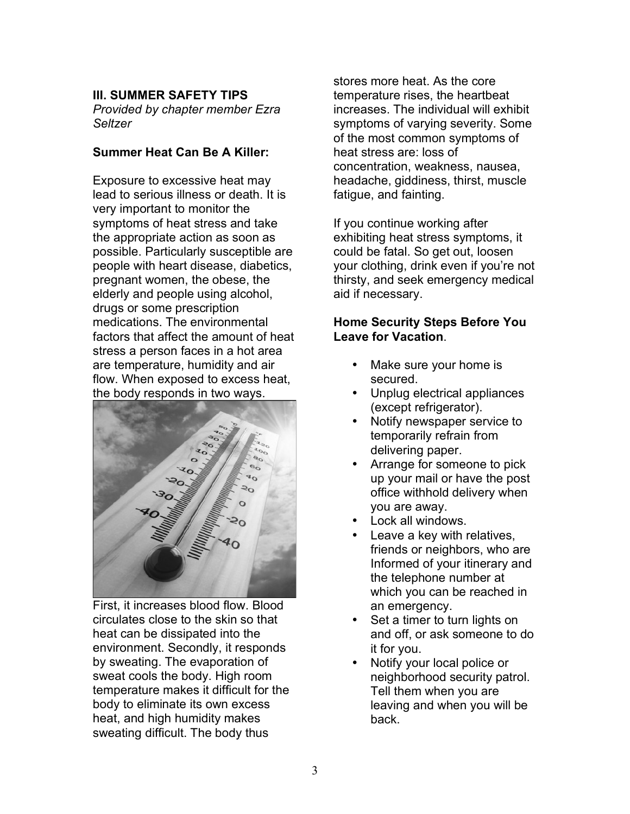## **III. SUMMER SAFETY TIPS**

*Provided by chapter member Ezra Seltzer* 

## **Summer Heat Can Be A Killer:**

Exposure to excessive heat may lead to serious illness or death. It is very important to monitor the symptoms of heat stress and take the appropriate action as soon as possible. Particularly susceptible are people with heart disease, diabetics, pregnant women, the obese, the elderly and people using alcohol, drugs or some prescription medications. The environmental factors that affect the amount of heat stress a person faces in a hot area are temperature, humidity and air flow. When exposed to excess heat, the body responds in two ways.



First, it increases blood flow. Blood circulates close to the skin so that heat can be dissipated into the environment. Secondly, it responds by sweating. The evaporation of sweat cools the body. High room temperature makes it difficult for the body to eliminate its own excess heat, and high humidity makes sweating difficult. The body thus

stores more heat. As the core temperature rises, the heartbeat increases. The individual will exhibit symptoms of varying severity. Some of the most common symptoms of heat stress are: loss of concentration, weakness, nausea, headache, giddiness, thirst, muscle fatigue, and fainting.

If you continue working after exhibiting heat stress symptoms, it could be fatal. So get out, loosen your clothing, drink even if you're not thirsty, and seek emergency medical aid if necessary.

#### **Home Security Steps Before You Leave for Vacation**.

- Make sure your home is secured.
- Unplug electrical appliances (except refrigerator).
- Notify newspaper service to temporarily refrain from delivering paper.
- Arrange for someone to pick up your mail or have the post office withhold delivery when you are away.
- Lock all windows.
- Leave a key with relatives, friends or neighbors, who are Informed of your itinerary and the telephone number at which you can be reached in an emergency.
- Set a timer to turn lights on and off, or ask someone to do it for you.
- Notify your local police or neighborhood security patrol. Tell them when you are leaving and when you will be back.